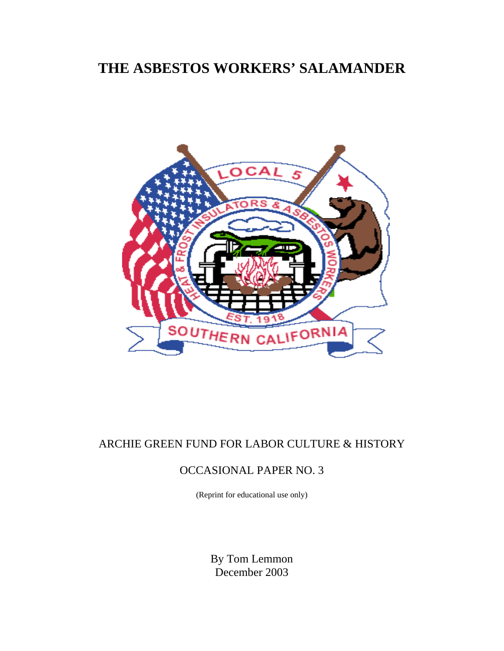## **THE ASBESTOS WORKERS' SALAMANDER**



### ARCHIE GREEN FUND FOR LABOR CULTURE & HISTORY

### OCCASIONAL PAPER NO. 3

(Reprint for educational use only)

By Tom Lemmon December 2003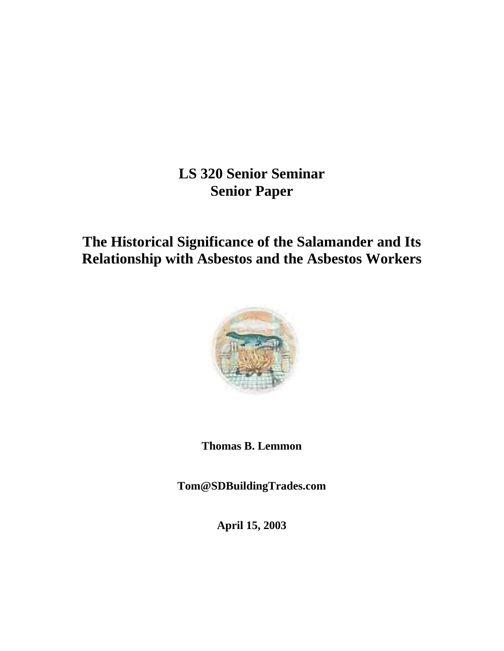# **LS 320 Senior Seminar Senior Paper**

# **The Historical Significance of the Salamander and Its Relationship with Asbestos and the Asbestos Workers**



**Thomas B. Lemmon** 

**Tom@SDBuildingTrades.com** 

**April 15, 2003**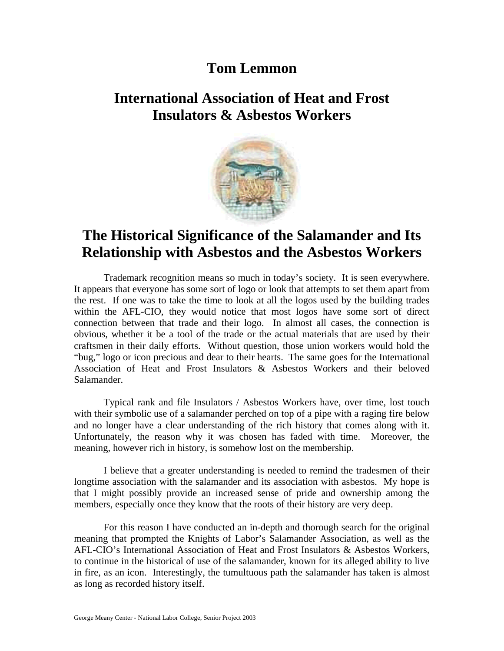## **Tom Lemmon**

## **International Association of Heat and Frost Insulators & Asbestos Workers**



## **The Historical Significance of the Salamander and Its Relationship with Asbestos and the Asbestos Workers**

Trademark recognition means so much in today's society. It is seen everywhere. It appears that everyone has some sort of logo or look that attempts to set them apart from the rest. If one was to take the time to look at all the logos used by the building trades within the AFL-CIO, they would notice that most logos have some sort of direct connection between that trade and their logo. In almost all cases, the connection is obvious, whether it be a tool of the trade or the actual materials that are used by their craftsmen in their daily efforts. Without question, those union workers would hold the "bug," logo or icon precious and dear to their hearts. The same goes for the International Association of Heat and Frost Insulators & Asbestos Workers and their beloved Salamander.

Typical rank and file Insulators / Asbestos Workers have, over time, lost touch with their symbolic use of a salamander perched on top of a pipe with a raging fire below and no longer have a clear understanding of the rich history that comes along with it. Unfortunately, the reason why it was chosen has faded with time. Moreover, the meaning, however rich in history, is somehow lost on the membership.

I believe that a greater understanding is needed to remind the tradesmen of their longtime association with the salamander and its association with asbestos. My hope is that I might possibly provide an increased sense of pride and ownership among the members, especially once they know that the roots of their history are very deep.

For this reason I have conducted an in-depth and thorough search for the original meaning that prompted the Knights of Labor's Salamander Association, as well as the AFL-CIO's International Association of Heat and Frost Insulators & Asbestos Workers, to continue in the historical of use of the salamander, known for its alleged ability to live in fire, as an icon. Interestingly, the tumultuous path the salamander has taken is almost as long as recorded history itself.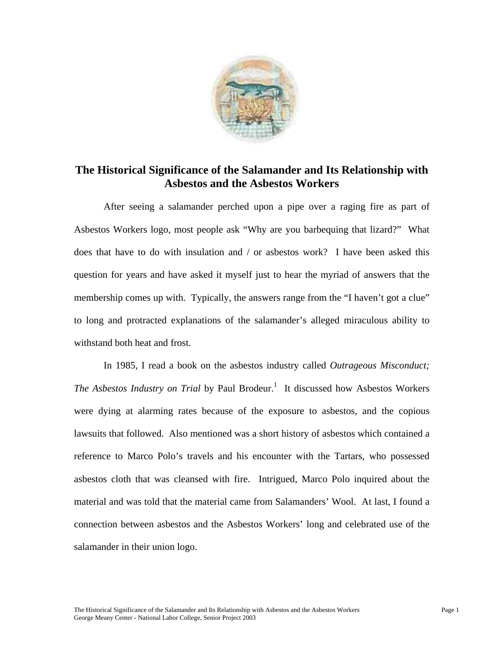

### **The Historical Significance of the Salamander and Its Relationship with Asbestos and the Asbestos Workers**

After seeing a salamander perched upon a pipe over a raging fire as part of Asbestos Workers logo, most people ask "Why are you barbequing that lizard?" What does that have to do with insulation and / or asbestos work? I have been asked this question for years and have asked it myself just to hear the myriad of answers that the membership comes up with. Typically, the answers range from the "I haven't got a clue" to long and protracted explanations of the salamander's alleged miraculous ability to withstand both heat and frost.

In 1985, I read a book on the asbestos industry called *Outrageous Misconduct;*  The Asbestos Industry on Trial by Paul Brodeur.<sup>1</sup> It discussed how Asbestos Workers were dying at alarming rates because of the exposure to asbestos, and the copious lawsuits that followed. Also mentioned was a short history of asbestos which contained a reference to Marco Polo's travels and his encounter with the Tartars, who possessed asbestos cloth that was cleansed with fire. Intrigued, Marco Polo inquired about the material and was told that the material came from Salamanders' Wool. At last, I found a connection between asbestos and the Asbestos Workers' long and celebrated use of the salamander in their union logo.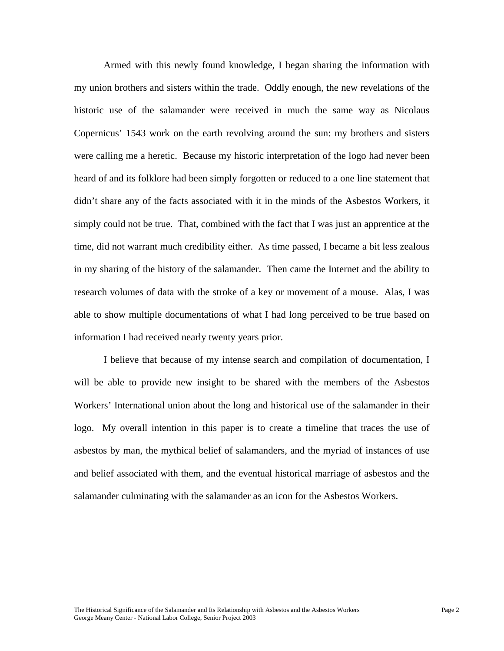Armed with this newly found knowledge, I began sharing the information with my union brothers and sisters within the trade. Oddly enough, the new revelations of the historic use of the salamander were received in much the same way as Nicolaus Copernicus' 1543 work on the earth revolving around the sun: my brothers and sisters were calling me a heretic. Because my historic interpretation of the logo had never been heard of and its folklore had been simply forgotten or reduced to a one line statement that didn't share any of the facts associated with it in the minds of the Asbestos Workers, it simply could not be true. That, combined with the fact that I was just an apprentice at the time, did not warrant much credibility either. As time passed, I became a bit less zealous in my sharing of the history of the salamander. Then came the Internet and the ability to research volumes of data with the stroke of a key or movement of a mouse. Alas, I was able to show multiple documentations of what I had long perceived to be true based on information I had received nearly twenty years prior.

I believe that because of my intense search and compilation of documentation, I will be able to provide new insight to be shared with the members of the Asbestos Workers' International union about the long and historical use of the salamander in their logo. My overall intention in this paper is to create a timeline that traces the use of asbestos by man, the mythical belief of salamanders, and the myriad of instances of use and belief associated with them, and the eventual historical marriage of asbestos and the salamander culminating with the salamander as an icon for the Asbestos Workers.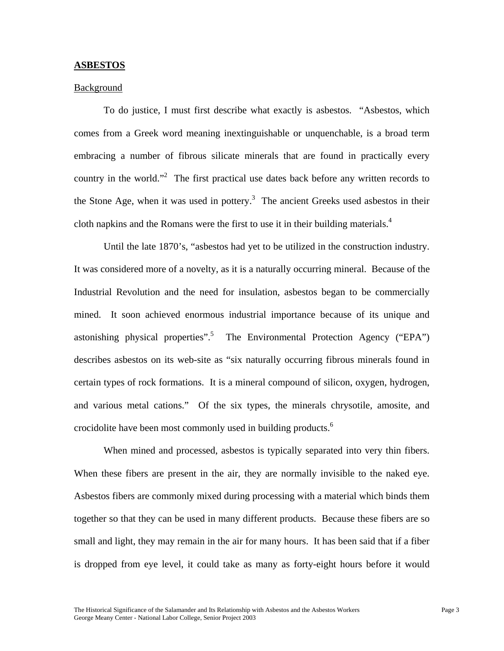#### **ASBESTOS**

#### Background

To do justice, I must first describe what exactly is asbestos. "Asbestos, which comes from a Greek word meaning inextinguishable or unquenchable, is a broad term embracing a number of fibrous silicate minerals that are found in practically every country in the world."<sup>2</sup> The first practical use dates back before any written records to the Stone Age, when it was used in pottery.<sup>3</sup> The ancient Greeks used asbestos in their cloth napkins and the Romans were the first to use it in their building materials.<sup>4</sup>

Until the late 1870's, "asbestos had yet to be utilized in the construction industry. It was considered more of a novelty, as it is a naturally occurring mineral. Because of the Industrial Revolution and the need for insulation, asbestos began to be commercially mined. It soon achieved enormous industrial importance because of its unique and astonishing physical properties".<sup>5</sup> The Environmental Protection Agency ("EPA") describes asbestos on its web-site as "six naturally occurring fibrous minerals found in certain types of rock formations. It is a mineral compound of silicon, oxygen, hydrogen, and various metal cations." Of the six types, the minerals chrysotile, amosite, and crocidolite have been most commonly used in building products.<sup>6</sup>

When mined and processed, asbestos is typically separated into very thin fibers. When these fibers are present in the air, they are normally invisible to the naked eye. Asbestos fibers are commonly mixed during processing with a material which binds them together so that they can be used in many different products. Because these fibers are so small and light, they may remain in the air for many hours. It has been said that if a fiber is dropped from eye level, it could take as many as forty-eight hours before it would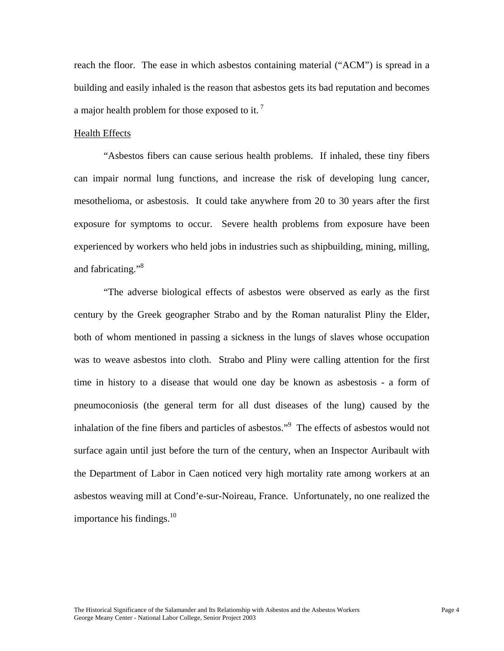reach the floor. The ease in which asbestos containing material ("ACM") is spread in a building and easily inhaled is the reason that asbestos gets its bad reputation and becomes a major health problem for those exposed to it.<sup>7</sup>

#### Health Effects

"Asbestos fibers can cause serious health problems. If inhaled, these tiny fibers can impair normal lung functions, and increase the risk of developing lung cancer, mesothelioma, or asbestosis. It could take anywhere from 20 to 30 years after the first exposure for symptoms to occur. Severe health problems from exposure have been experienced by workers who held jobs in industries such as shipbuilding, mining, milling, and fabricating."<sup>8</sup>

"The adverse biological effects of asbestos were observed as early as the first century by the Greek geographer Strabo and by the Roman naturalist Pliny the Elder, both of whom mentioned in passing a sickness in the lungs of slaves whose occupation was to weave asbestos into cloth. Strabo and Pliny were calling attention for the first time in history to a disease that would one day be known as asbestosis - a form of pneumoconiosis (the general term for all dust diseases of the lung) caused by the inhalation of the fine fibers and particles of asbestos."<sup>9</sup> The effects of asbestos would not surface again until just before the turn of the century, when an Inspector Auribault with the Department of Labor in Caen noticed very high mortality rate among workers at an asbestos weaving mill at Cond'e-sur-Noireau, France. Unfortunately, no one realized the importance his findings.<sup>10</sup>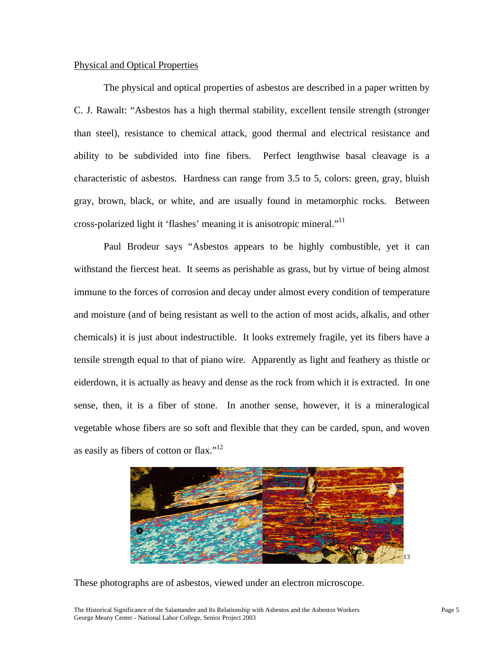#### Physical and Optical Properties

The physical and optical properties of asbestos are described in a paper written by C. J. Rawalt: "Asbestos has a high thermal stability, excellent tensile strength (stronger than steel), resistance to chemical attack, good thermal and electrical resistance and ability to be subdivided into fine fibers. Perfect lengthwise basal cleavage is a characteristic of asbestos. Hardness can range from 3.5 to 5, colors: green, gray, bluish gray, brown, black, or white, and are usually found in metamorphic rocks. Between cross-polarized light it 'flashes' meaning it is anisotropic mineral."<sup>11</sup>

Paul Brodeur says "Asbestos appears to be highly combustible, yet it can withstand the fiercest heat. It seems as perishable as grass, but by virtue of being almost immune to the forces of corrosion and decay under almost every condition of temperature and moisture (and of being resistant as well to the action of most acids, alkalis, and other chemicals) it is just about indestructible. It looks extremely fragile, yet its fibers have a tensile strength equal to that of piano wire. Apparently as light and feathery as thistle or eiderdown, it is actually as heavy and dense as the rock from which it is extracted. In one sense, then, it is a fiber of stone. In another sense, however, it is a mineralogical vegetable whose fibers are so soft and flexible that they can be carded, spun, and woven as easily as fibers of cotton or flax."<sup>12</sup>



These photographs are of asbestos, viewed under an electron microscope.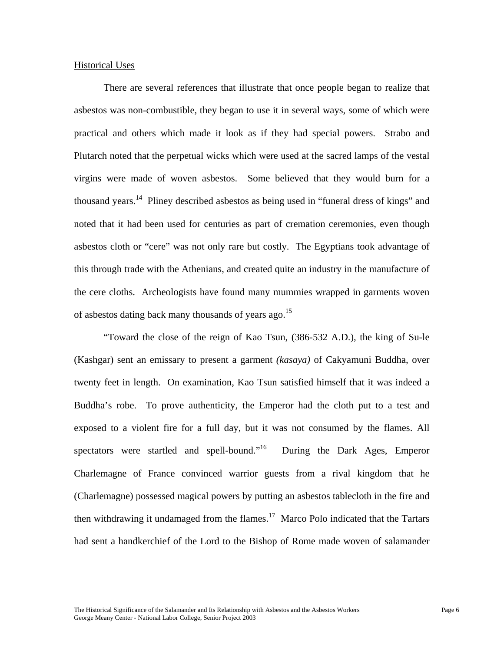#### Historical Uses

There are several references that illustrate that once people began to realize that asbestos was non-combustible, they began to use it in several ways, some of which were practical and others which made it look as if they had special powers. Strabo and Plutarch noted that the perpetual wicks which were used at the sacred lamps of the vestal virgins were made of woven asbestos. Some believed that they would burn for a thousand years.14 Pliney described asbestos as being used in "funeral dress of kings" and noted that it had been used for centuries as part of cremation ceremonies, even though asbestos cloth or "cere" was not only rare but costly. The Egyptians took advantage of this through trade with the Athenians, and created quite an industry in the manufacture of the cere cloths. Archeologists have found many mummies wrapped in garments woven of asbestos dating back many thousands of years ago.<sup>15</sup>

"Toward the close of the reign of Kao Tsun, (386-532 A.D.), the king of Su-le (Kashgar) sent an emissary to present a garment *(kasaya)* of Cakyamuni Buddha, over twenty feet in length. On examination, Kao Tsun satisfied himself that it was indeed a Buddha's robe. To prove authenticity, the Emperor had the cloth put to a test and exposed to a violent fire for a full day, but it was not consumed by the flames. All spectators were startled and spell-bound."<sup>16</sup> During the Dark Ages, Emperor Charlemagne of France convinced warrior guests from a rival kingdom that he (Charlemagne) possessed magical powers by putting an asbestos tablecloth in the fire and then withdrawing it undamaged from the flames.<sup>17</sup> Marco Polo indicated that the Tartars had sent a handkerchief of the Lord to the Bishop of Rome made woven of salamander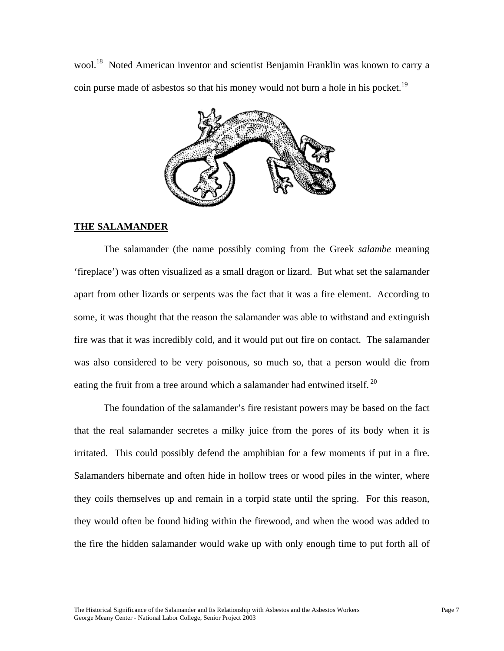wool.<sup>18</sup> Noted American inventor and scientist Benjamin Franklin was known to carry a coin purse made of asbestos so that his money would not burn a hole in his pocket.<sup>19</sup>



#### **THE SALAMANDER**

The salamander (the name possibly coming from the Greek *salambe* meaning 'fireplace') was often visualized as a small dragon or lizard. But what set the salamander apart from other lizards or serpents was the fact that it was a fire element. According to some, it was thought that the reason the salamander was able to withstand and extinguish fire was that it was incredibly cold, and it would put out fire on contact. The salamander was also considered to be very poisonous, so much so, that a person would die from eating the fruit from a tree around which a salamander had entwined itself.<sup>20</sup>

The foundation of the salamander's fire resistant powers may be based on the fact that the real salamander secretes a milky juice from the pores of its body when it is irritated. This could possibly defend the amphibian for a few moments if put in a fire. Salamanders hibernate and often hide in hollow trees or wood piles in the winter, where they coils themselves up and remain in a torpid state until the spring. For this reason, they would often be found hiding within the firewood, and when the wood was added to the fire the hidden salamander would wake up with only enough time to put forth all of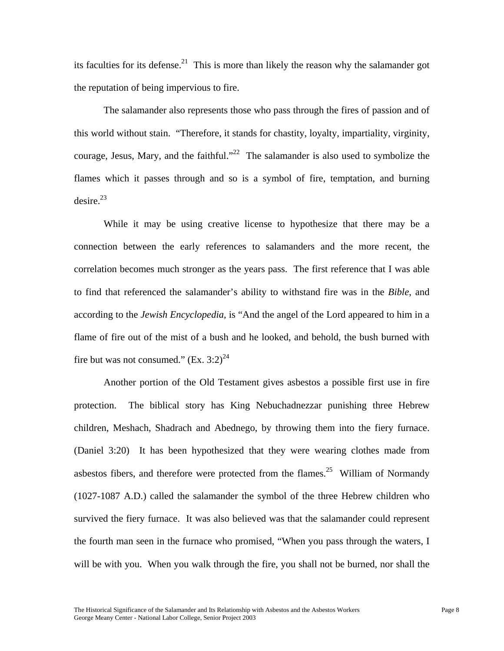its faculties for its defense.<sup>21</sup> This is more than likely the reason why the salamander got the reputation of being impervious to fire.

The salamander also represents those who pass through the fires of passion and of this world without stain. "Therefore, it stands for chastity, loyalty, impartiality, virginity, courage, Jesus, Mary, and the faithful."<sup>22</sup> The salamander is also used to symbolize the flames which it passes through and so is a symbol of fire, temptation, and burning desire.<sup>23</sup>

While it may be using creative license to hypothesize that there may be a connection between the early references to salamanders and the more recent, the correlation becomes much stronger as the years pass. The first reference that I was able to find that referenced the salamander's ability to withstand fire was in the *Bible*, and according to the *Jewish Encyclopedia*, is "And the angel of the Lord appeared to him in a flame of fire out of the mist of a bush and he looked, and behold, the bush burned with fire but was not consumed."  $(E_{\rm X}, 3:2)^{24}$ 

Another portion of the Old Testament gives asbestos a possible first use in fire protection. The biblical story has King Nebuchadnezzar punishing three Hebrew children, Meshach, Shadrach and Abednego, by throwing them into the fiery furnace. (Daniel 3:20) It has been hypothesized that they were wearing clothes made from asbestos fibers, and therefore were protected from the flames.<sup>25</sup> William of Normandy (1027-1087 A.D.) called the salamander the symbol of the three Hebrew children who survived the fiery furnace. It was also believed was that the salamander could represent the fourth man seen in the furnace who promised, "When you pass through the waters, I will be with you. When you walk through the fire, you shall not be burned, nor shall the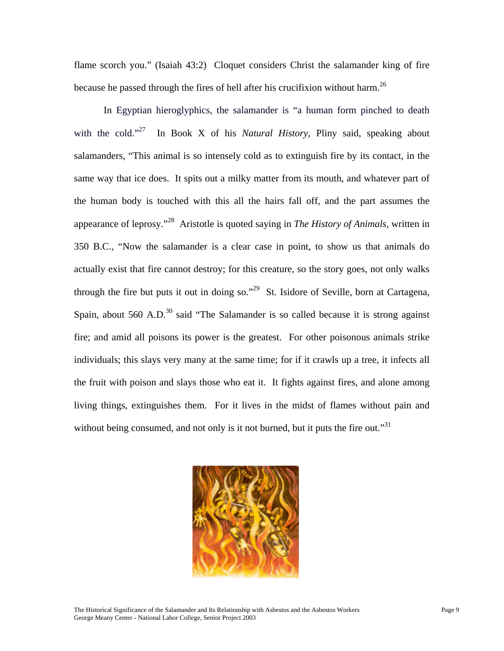flame scorch you." (Isaiah 43:2) Cloquet considers Christ the salamander king of fire because he passed through the fires of hell after his crucifixion without harm.<sup>26</sup>

In Egyptian hieroglyphics, the salamander is "a human form pinched to death with the cold."<sup>27</sup> In Book X of his *Natural History*, Pliny said, speaking about salamanders, "This animal is so intensely cold as to extinguish fire by its contact, in the same way that ice does. It spits out a milky matter from its mouth, and whatever part of the human body is touched with this all the hairs fall off, and the part assumes the appearance of leprosy."28 Aristotle is quoted saying in *The History of Animals,* written in 350 B.C., "Now the salamander is a clear case in point, to show us that animals do actually exist that fire cannot destroy; for this creature, so the story goes, not only walks through the fire but puts it out in doing so."<sup>29</sup> St. Isidore of Seville, born at Cartagena, Spain, about 560 A.D.<sup>30</sup> said "The Salamander is so called because it is strong against fire; and amid all poisons its power is the greatest. For other poisonous animals strike individuals; this slays very many at the same time; for if it crawls up a tree, it infects all the fruit with poison and slays those who eat it. It fights against fires, and alone among living things, extinguishes them. For it lives in the midst of flames without pain and without being consumed, and not only is it not burned, but it puts the fire out."<sup>31</sup>

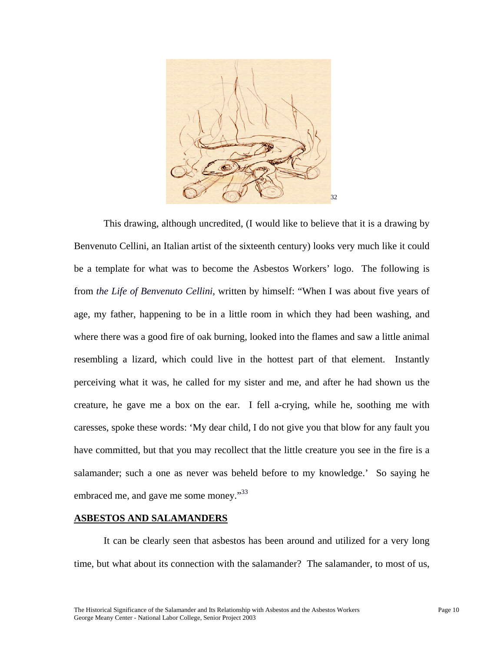

This drawing, although uncredited, (I would like to believe that it is a drawing by Benvenuto Cellini, an Italian artist of the sixteenth century) looks very much like it could be a template for what was to become the Asbestos Workers' logo. The following is from *the Life of Benvenuto Cellini*, written by himself: "When I was about five years of age, my father, happening to be in a little room in which they had been washing, and where there was a good fire of oak burning, looked into the flames and saw a little animal resembling a lizard, which could live in the hottest part of that element. Instantly perceiving what it was, he called for my sister and me, and after he had shown us the creature, he gave me a box on the ear. I fell a-crying, while he, soothing me with caresses, spoke these words: 'My dear child, I do not give you that blow for any fault you have committed, but that you may recollect that the little creature you see in the fire is a salamander; such a one as never was beheld before to my knowledge.' So saying he embraced me, and gave me some money."<sup>33</sup>

#### **ASBESTOS AND SALAMANDERS**

It can be clearly seen that asbestos has been around and utilized for a very long time, but what about its connection with the salamander? The salamander, to most of us,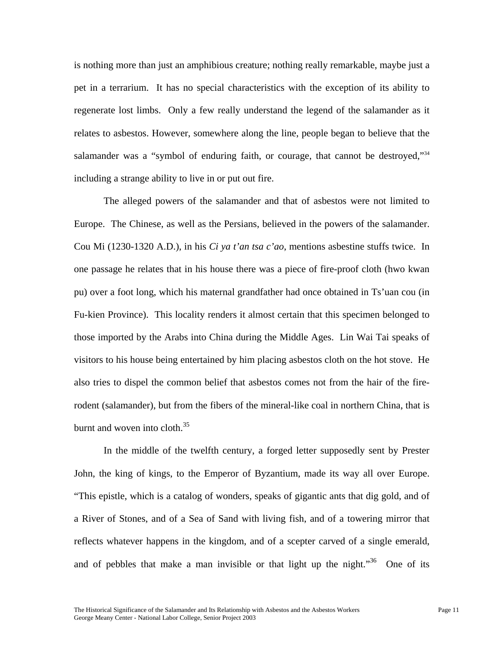is nothing more than just an amphibious creature; nothing really remarkable, maybe just a pet in a terrarium. It has no special characteristics with the exception of its ability to regenerate lost limbs. Only a few really understand the legend of the salamander as it relates to asbestos. However, somewhere along the line, people began to believe that the salamander was a "symbol of enduring faith, or courage, that cannot be destroyed,"34 including a strange ability to live in or put out fire.

The alleged powers of the salamander and that of asbestos were not limited to Europe. The Chinese, as well as the Persians, believed in the powers of the salamander. Cou Mi (1230-1320 A.D.), in his *Ci ya t'an tsa c'ao*, mentions asbestine stuffs twice. In one passage he relates that in his house there was a piece of fire-proof cloth (hwo kwan pu) over a foot long, which his maternal grandfather had once obtained in Ts'uan cou (in Fu-kien Province). This locality renders it almost certain that this specimen belonged to those imported by the Arabs into China during the Middle Ages. Lin Wai Tai speaks of visitors to his house being entertained by him placing asbestos cloth on the hot stove. He also tries to dispel the common belief that asbestos comes not from the hair of the firerodent (salamander), but from the fibers of the mineral-like coal in northern China, that is burnt and woven into cloth.<sup>35</sup>

In the middle of the twelfth century, a forged letter supposedly sent by Prester John, the king of kings, to the Emperor of Byzantium, made its way all over Europe. "This epistle, which is a catalog of wonders, speaks of gigantic ants that dig gold, and of a River of Stones, and of a Sea of Sand with living fish, and of a towering mirror that reflects whatever happens in the kingdom, and of a scepter carved of a single emerald, and of pebbles that make a man invisible or that light up the night.<sup>356</sup> One of its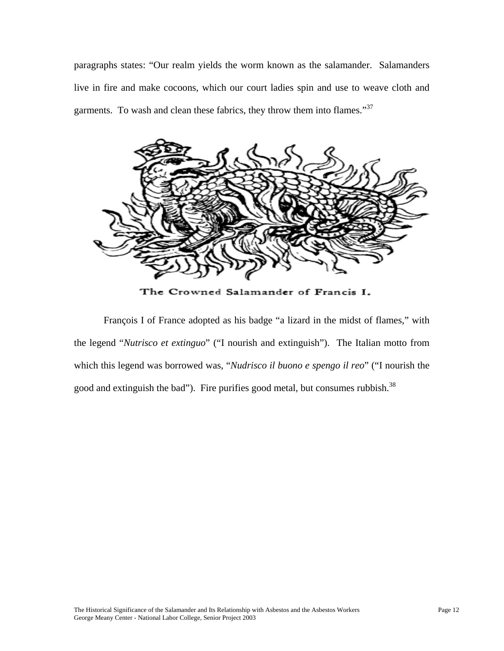paragraphs states: "Our realm yields the worm known as the salamander. Salamanders live in fire and make cocoons, which our court ladies spin and use to weave cloth and garments. To wash and clean these fabrics, they throw them into flames."<sup>37</sup>



The Crowned Salamander of Francis I.

François I of France adopted as his badge "a lizard in the midst of flames," with the legend "*Nutrisco et extinguo*" ("I nourish and extinguish"). The Italian motto from which this legend was borrowed was, "*Nudrisco il buono e spengo il reo*" ("I nourish the good and extinguish the bad"). Fire purifies good metal, but consumes rubbish.<sup>38</sup>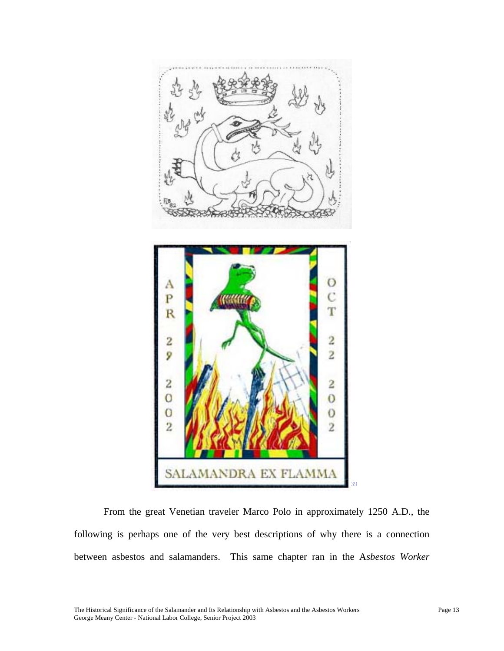

From the great Venetian traveler Marco Polo in approximately 1250 A.D., the following is perhaps one of the very best descriptions of why there is a connection between asbestos and salamanders. This same chapter ran in the A*sbestos Worker*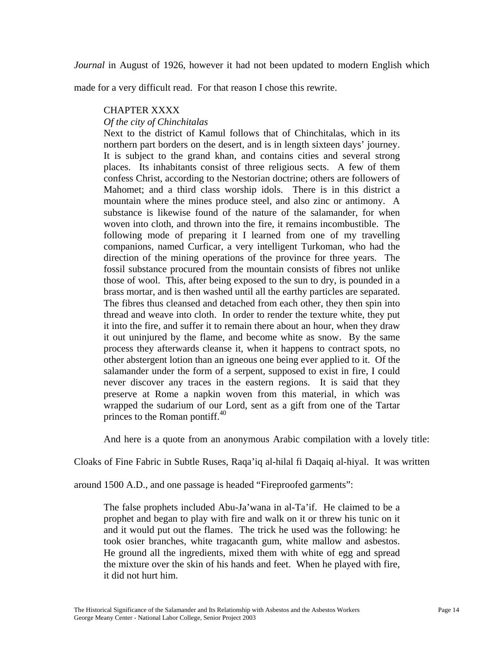*Journal* in August of 1926, however it had not been updated to modern English which

made for a very difficult read. For that reason I chose this rewrite.

#### CHAPTER XXXX

#### *Of the city of Chinchitalas*

Next to the district of Kamul follows that of Chinchitalas, which in its northern part borders on the desert, and is in length sixteen days' journey. It is subject to the grand khan, and contains cities and several strong places. Its inhabitants consist of three religious sects. A few of them confess Christ, according to the Nestorian doctrine; others are followers of Mahomet; and a third class worship idols. There is in this district a mountain where the mines produce steel, and also zinc or antimony. A substance is likewise found of the nature of the salamander, for when woven into cloth, and thrown into the fire, it remains incombustible. The following mode of preparing it I learned from one of my travelling companions, named Curficar, a very intelligent Turkoman, who had the direction of the mining operations of the province for three years. The fossil substance procured from the mountain consists of fibres not unlike those of wool. This, after being exposed to the sun to dry, is pounded in a brass mortar, and is then washed until all the earthy particles are separated. The fibres thus cleansed and detached from each other, they then spin into thread and weave into cloth. In order to render the texture white, they put it into the fire, and suffer it to remain there about an hour, when they draw it out uninjured by the flame, and become white as snow. By the same process they afterwards cleanse it, when it happens to contract spots, no other abstergent lotion than an igneous one being ever applied to it. Of the salamander under the form of a serpent, supposed to exist in fire, I could never discover any traces in the eastern regions. It is said that they preserve at Rome a napkin woven from this material, in which was wrapped the sudarium of our Lord, sent as a gift from one of the Tartar princes to the Roman pontiff. $40$ 

And here is a quote from an anonymous Arabic compilation with a lovely title:

Cloaks of Fine Fabric in Subtle Ruses, Raqa'iq al-hilal fi Daqaiq al-hiyal. It was written

around 1500 A.D., and one passage is headed "Fireproofed garments":

The false prophets included Abu-Ja'wana in al-Ta'if. He claimed to be a prophet and began to play with fire and walk on it or threw his tunic on it and it would put out the flames. The trick he used was the following: he took osier branches, white tragacanth gum, white mallow and asbestos. He ground all the ingredients, mixed them with white of egg and spread the mixture over the skin of his hands and feet. When he played with fire, it did not hurt him.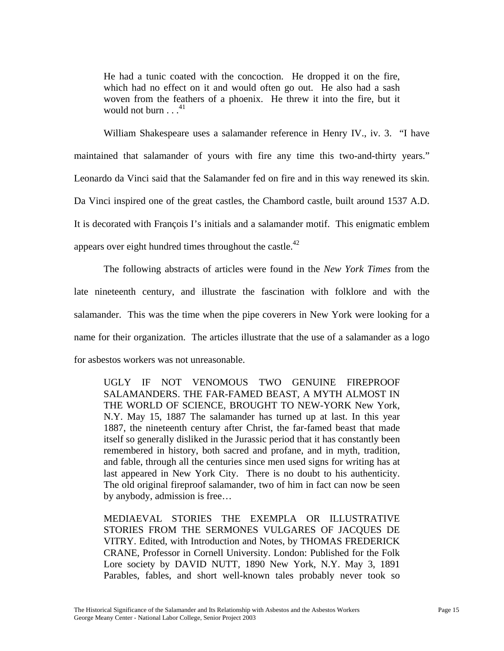He had a tunic coated with the concoction. He dropped it on the fire, which had no effect on it and would often go out. He also had a sash woven from the feathers of a phoenix. He threw it into the fire, but it would not burn  $\frac{41}{1}$ 

William Shakespeare uses a salamander reference in Henry IV., iv. 3. "I have maintained that salamander of yours with fire any time this two-and-thirty years." Leonardo da Vinci said that the Salamander fed on fire and in this way renewed its skin. Da Vinci inspired one of the great castles, the Chambord castle, built around 1537 A.D. It is decorated with François I's initials and a salamander motif. This enigmatic emblem appears over eight hundred times throughout the castle.<sup>42</sup>

The following abstracts of articles were found in the *New York Times* from the late nineteenth century, and illustrate the fascination with folklore and with the salamander. This was the time when the pipe coverers in New York were looking for a name for their organization. The articles illustrate that the use of a salamander as a logo for asbestos workers was not unreasonable.

UGLY IF NOT VENOMOUS TWO GENUINE FIREPROOF SALAMANDERS. THE FAR-FAMED BEAST, A MYTH ALMOST IN THE WORLD OF SCIENCE, BROUGHT TO NEW-YORK New York, N.Y. May 15, 1887 The salamander has turned up at last. In this year 1887, the nineteenth century after Christ, the far-famed beast that made itself so generally disliked in the Jurassic period that it has constantly been remembered in history, both sacred and profane, and in myth, tradition, and fable, through all the centuries since men used signs for writing has at last appeared in New York City. There is no doubt to his authenticity. The old original fireproof salamander, two of him in fact can now be seen by anybody, admission is free…

MEDIAEVAL STORIES THE EXEMPLA OR ILLUSTRATIVE STORIES FROM THE SERMONES VULGARES OF JACQUES DE VITRY. Edited, with Introduction and Notes, by THOMAS FREDERICK CRANE, Professor in Cornell University. London: Published for the Folk Lore society by DAVID NUTT, 1890 New York, N.Y. May 3, 1891 Parables, fables, and short well-known tales probably never took so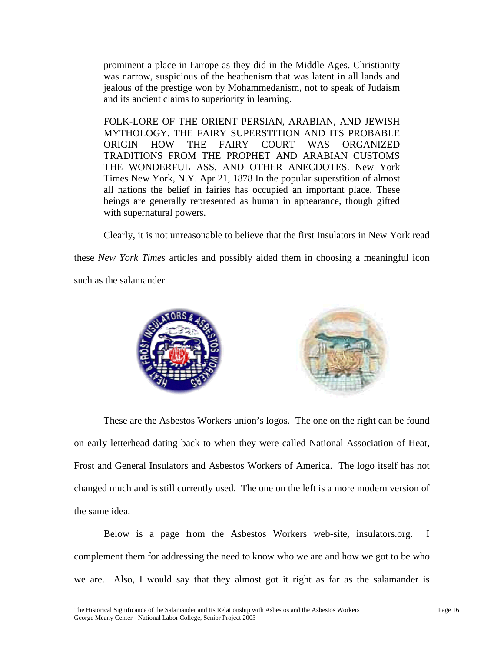prominent a place in Europe as they did in the Middle Ages. Christianity was narrow, suspicious of the heathenism that was latent in all lands and jealous of the prestige won by Mohammedanism, not to speak of Judaism and its ancient claims to superiority in learning.

FOLK-LORE OF THE ORIENT PERSIAN, ARABIAN, AND JEWISH MYTHOLOGY. THE FAIRY SUPERSTITION AND ITS PROBABLE ORIGIN HOW THE FAIRY COURT WAS ORGANIZED TRADITIONS FROM THE PROPHET AND ARABIAN CUSTOMS THE WONDERFUL ASS, AND OTHER ANECDOTES. New York Times New York, N.Y. Apr 21, 1878 In the popular superstition of almost all nations the belief in fairies has occupied an important place. These beings are generally represented as human in appearance, though gifted with supernatural powers.

Clearly, it is not unreasonable to believe that the first Insulators in New York read

these *New York Times* articles and possibly aided them in choosing a meaningful icon such as the salamander.



These are the Asbestos Workers union's logos. The one on the right can be found on early letterhead dating back to when they were called National Association of Heat, Frost and General Insulators and Asbestos Workers of America. The logo itself has not changed much and is still currently used. The one on the left is a more modern version of the same idea.

Below is a page from the Asbestos Workers web-site, insulators.org. I complement them for addressing the need to know who we are and how we got to be who we are. Also, I would say that they almost got it right as far as the salamander is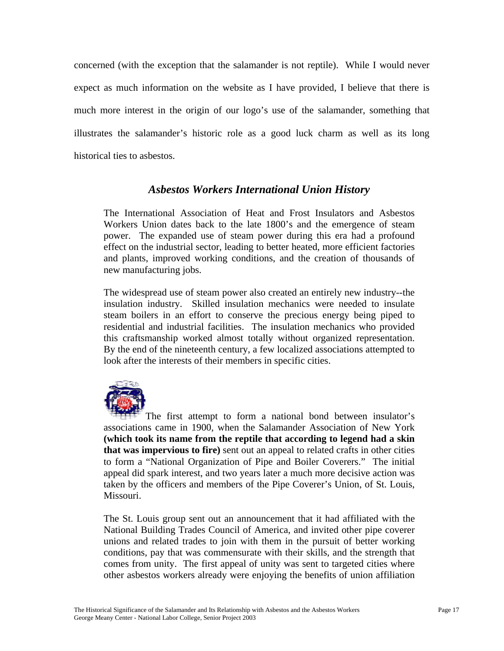concerned (with the exception that the salamander is not reptile). While I would never expect as much information on the website as I have provided, I believe that there is much more interest in the origin of our logo's use of the salamander, something that illustrates the salamander's historic role as a good luck charm as well as its long historical ties to asbestos.

### *Asbestos Workers International Union History*

The International Association of Heat and Frost Insulators and Asbestos Workers Union dates back to the late 1800's and the emergence of steam power. The expanded use of steam power during this era had a profound effect on the industrial sector, leading to better heated, more efficient factories and plants, improved working conditions, and the creation of thousands of new manufacturing jobs.

The widespread use of steam power also created an entirely new industry--the insulation industry. Skilled insulation mechanics were needed to insulate steam boilers in an effort to conserve the precious energy being piped to residential and industrial facilities. The insulation mechanics who provided this craftsmanship worked almost totally without organized representation. By the end of the nineteenth century, a few localized associations attempted to look after the interests of their members in specific cities.



The first attempt to form a national bond between insulator's associations came in 1900, when the Salamander Association of New York **(which took its name from the reptile that according to legend had a skin that was impervious to fire)** sent out an appeal to related crafts in other cities to form a "National Organization of Pipe and Boiler Coverers." The initial appeal did spark interest, and two years later a much more decisive action was taken by the officers and members of the Pipe Coverer's Union, of St. Louis, Missouri.

The St. Louis group sent out an announcement that it had affiliated with the National Building Trades Council of America, and invited other pipe coverer unions and related trades to join with them in the pursuit of better working conditions, pay that was commensurate with their skills, and the strength that comes from unity. The first appeal of unity was sent to targeted cities where other asbestos workers already were enjoying the benefits of union affiliation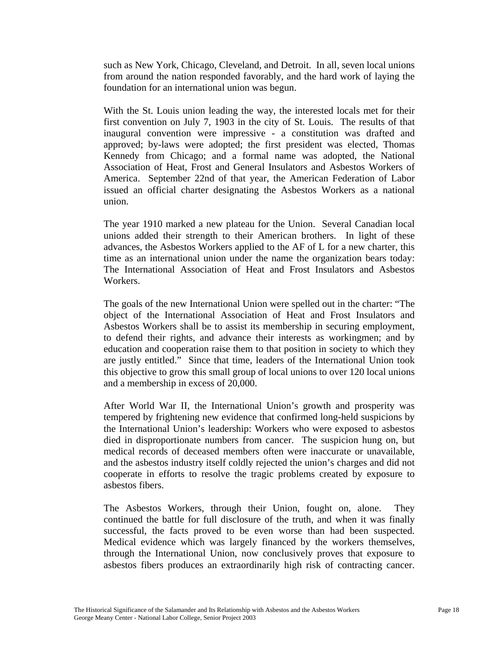such as New York, Chicago, Cleveland, and Detroit. In all, seven local unions from around the nation responded favorably, and the hard work of laying the foundation for an international union was begun.

With the St. Louis union leading the way, the interested locals met for their first convention on July 7, 1903 in the city of St. Louis. The results of that inaugural convention were impressive - a constitution was drafted and approved; by-laws were adopted; the first president was elected, Thomas Kennedy from Chicago; and a formal name was adopted, the National Association of Heat, Frost and General Insulators and Asbestos Workers of America. September 22nd of that year, the American Federation of Labor issued an official charter designating the Asbestos Workers as a national union.

The year 1910 marked a new plateau for the Union. Several Canadian local unions added their strength to their American brothers. In light of these advances, the Asbestos Workers applied to the AF of L for a new charter, this time as an international union under the name the organization bears today: The International Association of Heat and Frost Insulators and Asbestos **Workers** 

The goals of the new International Union were spelled out in the charter: "The object of the International Association of Heat and Frost Insulators and Asbestos Workers shall be to assist its membership in securing employment, to defend their rights, and advance their interests as workingmen; and by education and cooperation raise them to that position in society to which they are justly entitled." Since that time, leaders of the International Union took this objective to grow this small group of local unions to over 120 local unions and a membership in excess of 20,000.

After World War II, the International Union's growth and prosperity was tempered by frightening new evidence that confirmed long-held suspicions by the International Union's leadership: Workers who were exposed to asbestos died in disproportionate numbers from cancer. The suspicion hung on, but medical records of deceased members often were inaccurate or unavailable, and the asbestos industry itself coldly rejected the union's charges and did not cooperate in efforts to resolve the tragic problems created by exposure to asbestos fibers.

The Asbestos Workers, through their Union, fought on, alone. They continued the battle for full disclosure of the truth, and when it was finally successful, the facts proved to be even worse than had been suspected. Medical evidence which was largely financed by the workers themselves, through the International Union, now conclusively proves that exposure to asbestos fibers produces an extraordinarily high risk of contracting cancer.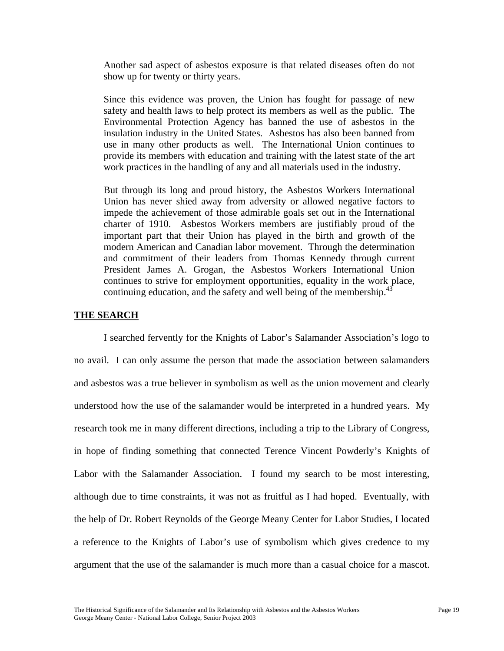Another sad aspect of asbestos exposure is that related diseases often do not show up for twenty or thirty years.

Since this evidence was proven, the Union has fought for passage of new safety and health laws to help protect its members as well as the public. The Environmental Protection Agency has banned the use of asbestos in the insulation industry in the United States. Asbestos has also been banned from use in many other products as well. The International Union continues to provide its members with education and training with the latest state of the art work practices in the handling of any and all materials used in the industry.

But through its long and proud history, the Asbestos Workers International Union has never shied away from adversity or allowed negative factors to impede the achievement of those admirable goals set out in the International charter of 1910. Asbestos Workers members are justifiably proud of the important part that their Union has played in the birth and growth of the modern American and Canadian labor movement. Through the determination and commitment of their leaders from Thomas Kennedy through current President James A. Grogan, the Asbestos Workers International Union continues to strive for employment opportunities, equality in the work place, continuing education, and the safety and well being of the membership.<sup>43</sup>

#### **THE SEARCH**

I searched fervently for the Knights of Labor's Salamander Association's logo to no avail. I can only assume the person that made the association between salamanders and asbestos was a true believer in symbolism as well as the union movement and clearly understood how the use of the salamander would be interpreted in a hundred years. My research took me in many different directions, including a trip to the Library of Congress, in hope of finding something that connected Terence Vincent Powderly's Knights of Labor with the Salamander Association. I found my search to be most interesting, although due to time constraints, it was not as fruitful as I had hoped. Eventually, with the help of Dr. Robert Reynolds of the George Meany Center for Labor Studies, I located a reference to the Knights of Labor's use of symbolism which gives credence to my argument that the use of the salamander is much more than a casual choice for a mascot.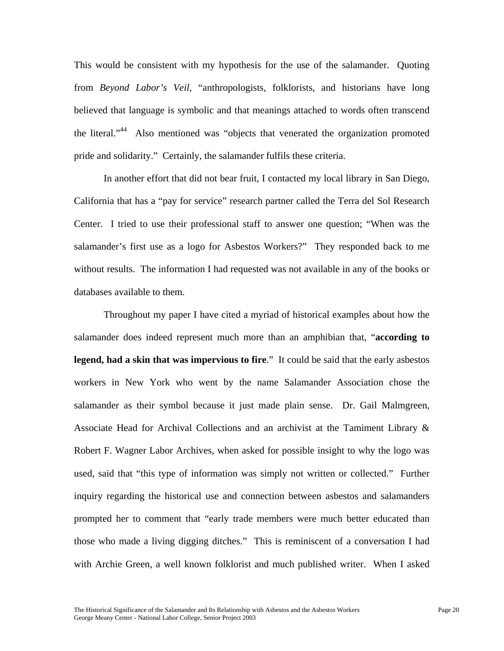This would be consistent with my hypothesis for the use of the salamander. Quoting from *Beyond Labor's Veil*, "anthropologists, folklorists, and historians have long believed that language is symbolic and that meanings attached to words often transcend the literal."44 Also mentioned was "objects that venerated the organization promoted pride and solidarity." Certainly, the salamander fulfils these criteria.

In another effort that did not bear fruit, I contacted my local library in San Diego, California that has a "pay for service" research partner called the Terra del Sol Research Center. I tried to use their professional staff to answer one question; "When was the salamander's first use as a logo for Asbestos Workers?" They responded back to me without results. The information I had requested was not available in any of the books or databases available to them.

Throughout my paper I have cited a myriad of historical examples about how the salamander does indeed represent much more than an amphibian that, "**according to legend, had a skin that was impervious to fire**." It could be said that the early asbestos workers in New York who went by the name Salamander Association chose the salamander as their symbol because it just made plain sense. Dr. Gail Malmgreen, Associate Head for Archival Collections and an archivist at the Tamiment Library & Robert F. Wagner Labor Archives, when asked for possible insight to why the logo was used, said that "this type of information was simply not written or collected." Further inquiry regarding the historical use and connection between asbestos and salamanders prompted her to comment that "early trade members were much better educated than those who made a living digging ditches." This is reminiscent of a conversation I had with Archie Green, a well known folklorist and much published writer. When I asked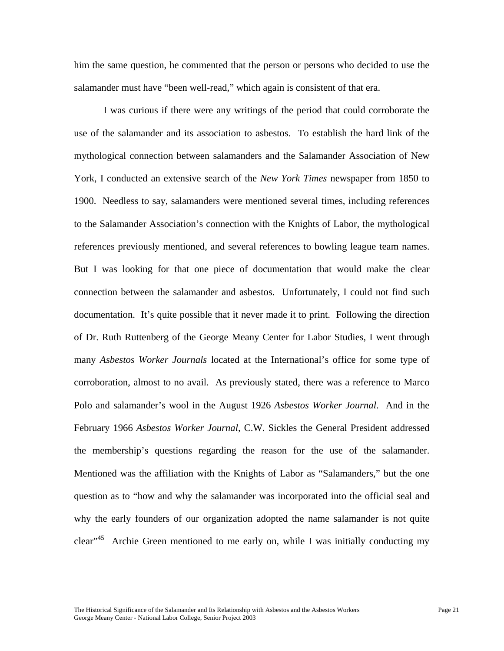him the same question, he commented that the person or persons who decided to use the salamander must have "been well-read," which again is consistent of that era.

I was curious if there were any writings of the period that could corroborate the use of the salamander and its association to asbestos. To establish the hard link of the mythological connection between salamanders and the Salamander Association of New York, I conducted an extensive search of the *New York Times* newspaper from 1850 to 1900. Needless to say, salamanders were mentioned several times, including references to the Salamander Association's connection with the Knights of Labor, the mythological references previously mentioned, and several references to bowling league team names. But I was looking for that one piece of documentation that would make the clear connection between the salamander and asbestos. Unfortunately, I could not find such documentation. It's quite possible that it never made it to print. Following the direction of Dr. Ruth Ruttenberg of the George Meany Center for Labor Studies, I went through many *Asbestos Worker Journals* located at the International's office for some type of corroboration, almost to no avail. As previously stated, there was a reference to Marco Polo and salamander's wool in the August 1926 *Asbestos Worker Journal*. And in the February 1966 *Asbestos Worker Journal*, C.W. Sickles the General President addressed the membership's questions regarding the reason for the use of the salamander. Mentioned was the affiliation with the Knights of Labor as "Salamanders," but the one question as to "how and why the salamander was incorporated into the official seal and why the early founders of our organization adopted the name salamander is not quite clear"<sup>45</sup> Archie Green mentioned to me early on, while I was initially conducting my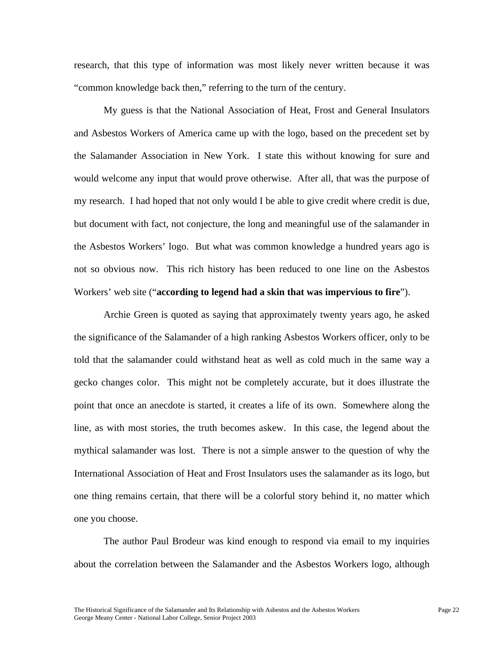research, that this type of information was most likely never written because it was "common knowledge back then," referring to the turn of the century.

My guess is that the National Association of Heat, Frost and General Insulators and Asbestos Workers of America came up with the logo, based on the precedent set by the Salamander Association in New York. I state this without knowing for sure and would welcome any input that would prove otherwise. After all, that was the purpose of my research. I had hoped that not only would I be able to give credit where credit is due, but document with fact, not conjecture, the long and meaningful use of the salamander in the Asbestos Workers' logo. But what was common knowledge a hundred years ago is not so obvious now. This rich history has been reduced to one line on the Asbestos Workers' web site ("**according to legend had a skin that was impervious to fire**").

Archie Green is quoted as saying that approximately twenty years ago, he asked the significance of the Salamander of a high ranking Asbestos Workers officer, only to be told that the salamander could withstand heat as well as cold much in the same way a gecko changes color. This might not be completely accurate, but it does illustrate the point that once an anecdote is started, it creates a life of its own. Somewhere along the line, as with most stories, the truth becomes askew. In this case, the legend about the mythical salamander was lost. There is not a simple answer to the question of why the International Association of Heat and Frost Insulators uses the salamander as its logo, but one thing remains certain, that there will be a colorful story behind it, no matter which one you choose.

The author Paul Brodeur was kind enough to respond via email to my inquiries about the correlation between the Salamander and the Asbestos Workers logo, although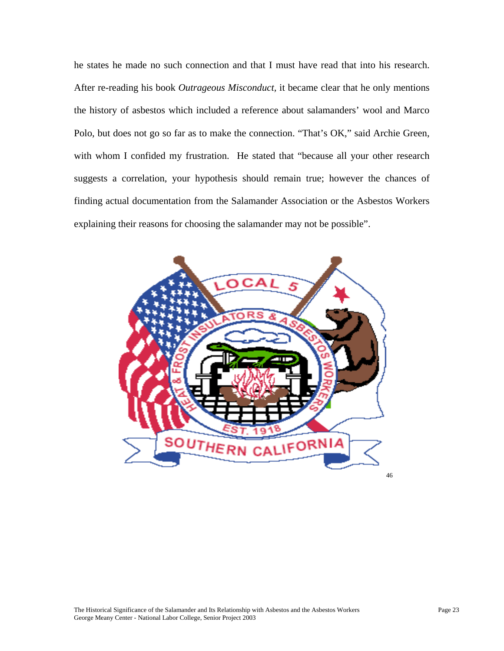he states he made no such connection and that I must have read that into his research. After re-reading his book *Outrageous Misconduct,* it became clear that he only mentions the history of asbestos which included a reference about salamanders' wool and Marco Polo, but does not go so far as to make the connection. "That's OK," said Archie Green, with whom I confided my frustration. He stated that "because all your other research suggests a correlation, your hypothesis should remain true; however the chances of finding actual documentation from the Salamander Association or the Asbestos Workers explaining their reasons for choosing the salamander may not be possible".

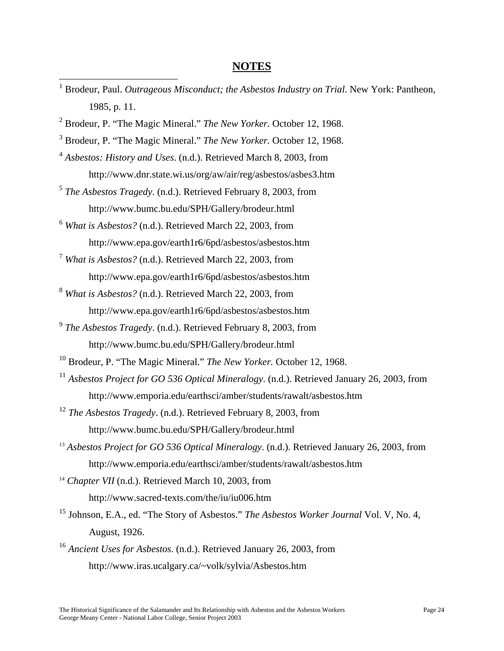#### **NOTES**

- 1 Brodeur, Paul. *Outrageous Misconduct; the Asbestos Industry on Trial*. New York: Pantheon, 1985, p. 11.
- 2 Brodeur, P. "The Magic Mineral." *The New Yorker.* October 12, 1968.
- 3 Brodeur, P. "The Magic Mineral." *The New Yorker.* October 12, 1968.
- <sup>4</sup> *Asbestos: History and Uses*. (n.d.). Retrieved March 8, 2003, from http://www.dnr.state.wi.us/org/aw/air/reg/asbestos/asbes3.htm
- <sup>5</sup> *The Asbestos Tragedy*. (n.d.). Retrieved February 8, 2003, from http://www.bumc.bu.edu/SPH/Gallery/brodeur.html
- <sup>6</sup> *What is Asbestos?* (n.d.). Retrieved March 22, 2003, from http://www.epa.gov/earth1r6/6pd/asbestos/asbestos.htm
- <sup>7</sup> *What is Asbestos?* (n.d.). Retrieved March 22, 2003, from http://www.epa.gov/earth1r6/6pd/asbestos/asbestos.htm
- <sup>8</sup> *What is Asbestos?* (n.d.). Retrieved March 22, 2003, from http://www.epa.gov/earth1r6/6pd/asbestos/asbestos.htm
- <sup>9</sup> *The Asbestos Tragedy*. (n.d.). Retrieved February 8, 2003, from http://www.bumc.bu.edu/SPH/Gallery/brodeur.html
- 10 Brodeur, P. "The Magic Mineral." *The New Yorker.* October 12, 1968.
- <sup>11</sup> *Asbestos Project for GO 536 Optical Mineralogy.* (n.d.). Retrieved January 26, 2003, from http://www.emporia.edu/earthsci/amber/students/rawalt/asbestos.htm
- <sup>12</sup> *The Asbestos Tragedy*. (n.d.). Retrieved February 8, 2003, from http://www.bumc.bu.edu/SPH/Gallery/brodeur.html
- <sup>13</sup> Asbestos Project for GO 536 Optical Mineralogy. (n.d.). Retrieved January 26, 2003, from http://www.emporia.edu/earthsci/amber/students/rawalt/asbestos.htm
- <sup>14</sup> *Chapter VII* (n.d.). Retrieved March 10, 2003, from http://www.sacred-texts.com/the/iu/iu006.htm
- 15 Johnson, E.A., ed. "The Story of Asbestos." *The Asbestos Worker Journal* Vol. V, No. 4, August, 1926.
- <sup>16</sup> *Ancient Uses for Asbestos*. (n.d.). Retrieved January 26, 2003, from http://www.iras.ucalgary.ca/~volk/sylvia/Asbestos.htm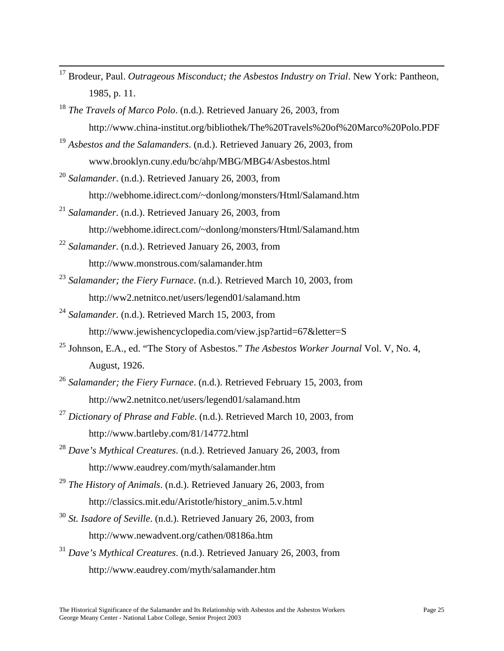- <sup>17</sup> Brodeur, Paul. *Outrageous Misconduct; the Asbestos Industry on Trial*. New York: Pantheon, 1985, p. 11.
- <sup>18</sup> *The Travels of Marco Polo*. (n.d.). Retrieved January 26, 2003, from http://www.china-institut.org/bibliothek/The%20Travels%20of%20Marco%20Polo.PDF
- <sup>19</sup> *Asbestos and the Salamanders*. (n.d.). Retrieved January 26, 2003, from www.brooklyn.cuny.edu/bc/ahp/MBG/MBG4/Asbestos.html
- <sup>20</sup> *Salamander*. (n.d.). Retrieved January 26, 2003, from http://webhome.idirect.com/~donlong/monsters/Html/Salamand.htm
- <sup>21</sup> *Salamander*. (n.d.). Retrieved January 26, 2003, from http://webhome.idirect.com/~donlong/monsters/Html/Salamand.htm
- <sup>22</sup> *Salamander*. (n.d.). Retrieved January 26, 2003, from http://www.monstrous.com/salamander.htm
- <sup>23</sup> *Salamander; the Fiery Furnace*. (n.d.). Retrieved March 10, 2003, from http://ww2.netnitco.net/users/legend01/salamand.htm
- <sup>24</sup> *Salamander*. (n.d.). Retrieved March 15, 2003, from http://www.jewishencyclopedia.com/view.jsp?artid=67&letter=S
- 25 Johnson, E.A., ed. "The Story of Asbestos." *The Asbestos Worker Journal* Vol. V, No. 4, August, 1926.
- <sup>26</sup> *Salamander; the Fiery Furnace*. (n.d.). Retrieved February 15, 2003, from http://ww2.netnitco.net/users/legend01/salamand.htm
- <sup>27</sup> *Dictionary of Phrase and Fable*. (n.d.). Retrieved March 10, 2003, from http://www.bartleby.com/81/14772.html
- <sup>28</sup> *Dave's Mythical Creatures*. (n.d.). Retrieved January 26, 2003, from http://www.eaudrey.com/myth/salamander.htm
- <sup>29</sup> *The History of Animals*. (n.d.). Retrieved January 26, 2003, from http://classics.mit.edu/Aristotle/history\_anim.5.v.html
- <sup>30</sup> *St. Isadore of Seville*. (n.d.). Retrieved January 26, 2003, from http://www.newadvent.org/cathen/08186a.htm
- <sup>31</sup> *Dave's Mythical Creatures*. (n.d.). Retrieved January 26, 2003, from http://www.eaudrey.com/myth/salamander.htm